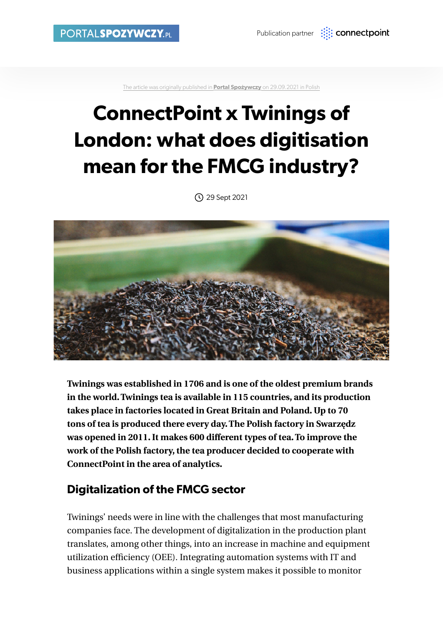[The article was originally published in](https://www.portalspozywczy.pl/technologie/artykuly/connectpoint-x-twinings-of-london-jakie-ma-znaczenie-cyfryzacja-dla-branzy-fmcg,203469.html) **Portal Spożywczy** on 29.09.2021 in Polish

# **ConnectPoint x Twinings of London: what does digitisation mean for the FMCG industry?**

29 Sept 2021



**Twinings was established in 1706 and is one of the oldest premium brands in the world. Twinings tea is available in 115 countries, and its production takes place in factories located in Great Britain and Poland. Up to 70 tons of tea is produced there every day. The Polish factory in Swarzędz was opened in 2011. It makes 600 different types of tea. To improve the work of the Polish factory, the tea producer decided to cooperate with ConnectPoint in the area of analytics.** 

### **Digitalization of the FMCG sector**

Twinings' needs were in line with the challenges that most manufacturing companies face. The development of digitalization in the production plant translates, among other things, into an increase in machine and equipment utilization efficiency (OEE). Integrating automation systems with IT and business applications within a single system makes it possible to monitor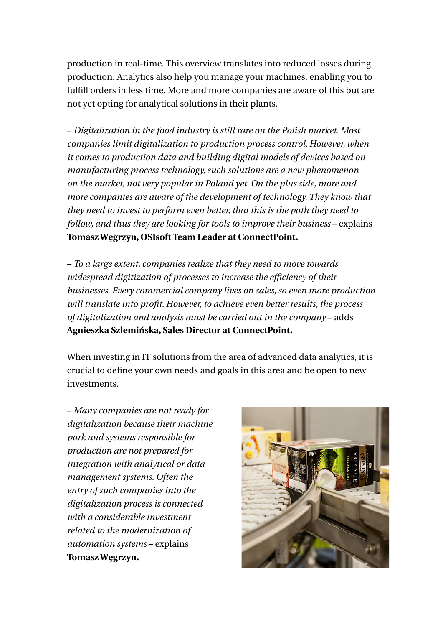production in real-time. This overview translates into reduced losses during production. Analytics also help you manage your machines, enabling you to fulfill orders in less time. More and more companies are aware of this but are not yet opting for analytical solutions in their plants.

– *Digitalization in the food industry is still rare on the Polish market. Most companies limit digitalization to production process control. However, when it comes to production data and building digital models of devices based on manufacturing process technology, such solutions are a new phenomenon on the market, not very popular in Poland yet. On the plus side, more and more companies are aware of the development of technology. They know that they need to invest to perform even better, that this is the path they need to follow, and thus they are looking for tools to improve their business – explains* **Tomasz Węgrzyn, OSIsoft Team Leader at ConnectPoint.**

– *To a large extent, companies realize that they need to move towards widespread digitization of processes to increase the efficiency of their businesses. Every commercial company lives on sales, so even more production will translate into profit. However, to achieve even better results, the process of digitalization and analysis must be carried out in the company* – adds **Agnieszka Szlemińska, Sales Director at ConnectPoint.**

When investing in IT solutions from the area of advanced data analytics, it is crucial to define your own needs and goals in this area and be open to new investments.

– *Many companies are not ready for digitalization because their machine park and systems responsible for production are not prepared for integration with analytical or data management systems. Often the entry of such companies into the digitalization process is connected with a considerable investment related to the modernization of automation systems* – explains **Tomasz Węgrzyn.**

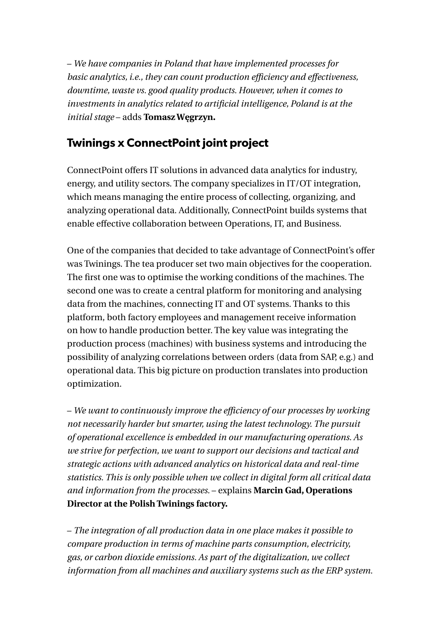– *We have companies in Poland that have implemented processes for basic analytics, i.e., they can count production efficiency and effectiveness, downtime, waste vs. good quality products. However, when it comes to investments in analytics related to artificial intelligence, Poland is at the initial stage* – adds **Tomasz Węgrzyn.**

# **Twinings x ConnectPoint joint project**

ConnectPoint offers IT solutions in advanced data analytics for industry, energy, and utility sectors. The company specializes in IT/OT integration, which means managing the entire process of collecting, organizing, and analyzing operational data. Additionally, ConnectPoint builds systems that enable effective collaboration between Operations, IT, and Business.

One of the companies that decided to take advantage of ConnectPoint's offer was Twinings. The tea producer set two main objectives for the cooperation. The first one was to optimise the working conditions of the machines. The second one was to create a central platform for monitoring and analysing data from the machines, connecting IT and OT systems. Thanks to this platform, both factory employees and management receive information on how to handle production better. The key value was integrating the production process (machines) with business systems and introducing the possibility of analyzing correlations between orders (data from SAP, e.g.) and operational data. This big picture on production translates into production optimization.

– *We want to continuously improve the efficiency of our processes by working not necessarily harder but smarter, using the latest technology. The pursuit of operational excellence is embedded in our manufacturing operations. As we strive for perfection, we want to support our decisions and tactical and strategic actions with advanced analytics on historical data and real-time statistics. This is only possible when we collect in digital form all critical data and information from the processes.* – explains **Marcin Gad, Operations Director at the Polish Twinings factory.**

– *The integration of all production data in one place makes it possible to compare production in terms of machine parts consumption, electricity, gas, or carbon dioxide emissions. As part of the digitalization, we collect information from all machines and auxiliary systems such as the ERP system.*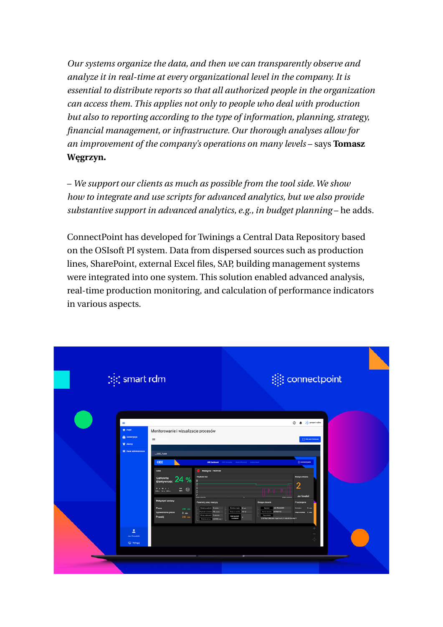*Our systems organize the data, and then we can transparently observe and analyze it in real-time at every organizational level in the company. It is essential to distribute reports so that all authorized people in the organization can access them. This applies not only to people who deal with production but also to reporting according to the type of information, planning, strategy, financial management, or infrastructure. Our thorough analyses allow for an improvement of the company's operations on many levels – says Tomasz* **Węgrzyn.**

– *We support our clients as much as possible from the tool side. We show how to integrate and use scripts for advanced analytics, but we also provide substantive support in advanced analytics, e.g., in budget planning* – he adds.

ConnectPoint has developed for Twinings a Central Data Repository based on the OSIsoft PI system. Data from dispersed sources such as production lines, SharePoint, external Excel files, SAP, building management systems were integrated into one system. This solution enabled advanced analysis, real-time production monitoring, and calculation of performance indicators in various aspects.

| $[:]$ ; smart rdm                                                                                                                    |                                                                                                                                                                                                                                                                                                                                                                                                                                          | <b>i</b> connectpoint                                                                                                                                                                                                                                                                                                                                                                                                                                                                                                                  |  |
|--------------------------------------------------------------------------------------------------------------------------------------|------------------------------------------------------------------------------------------------------------------------------------------------------------------------------------------------------------------------------------------------------------------------------------------------------------------------------------------------------------------------------------------------------------------------------------------|----------------------------------------------------------------------------------------------------------------------------------------------------------------------------------------------------------------------------------------------------------------------------------------------------------------------------------------------------------------------------------------------------------------------------------------------------------------------------------------------------------------------------------------|--|
| Ξ<br><b>A</b> Public<br><b>B</b> Subskrypcje<br>W Alarmy<br><b>III</b> Panel administrators<br>ュ<br>Jan Kowalski<br><b>U</b> Wylegal | Monitorowanie i wizualizacje procesów<br>$\equiv$<br>1.0EE_Pulut<br>OEE<br><b>OEE</b><br><b>C</b> Massyna - HD6436<br><b>Predicts Inc.</b><br>Calkowita 24 %<br><br>$= 0$<br>----<br>Statystyki zmiany<br>Parametry pracy mesophy<br><b>Atura John Bales</b><br>Prace<br>240 m<br><b>Political foreigns: 70 minis</b><br>Spowdniona praca<br>$0 -$<br><b>Chris Adelaide Busines</b><br>Przestój<br>$240$ min<br>Sydnes private 2.6183 mm | ① 单 次 smart rdm<br>C PRINTREAM<br><b>Communist</b><br><b>OEE DEMANARE - OEE EUROPH - ANDER PROJECT - ANDER NOT</b><br><b>Belgia triana</b><br>$\overline{2}$<br><b>TILL I</b><br><b>Jan Kowalski</b><br><b>Diežiące zlocenie</b><br>Passbojenie<br><b>Increased Enc</b><br><b>Jan Kowalski</b><br>Operator<br><b>Northern</b><br>$\sim$<br><b>Ship exercise 100 to</b><br>Nune deares 64700112<br><b>Distances</b><br>$O$ and<br><b>Typ products</b><br><b><i><u>Delivery</u></i></b><br>EXYVING JIMITARY, THA 24443, 1 105 RZODYNIATE |  |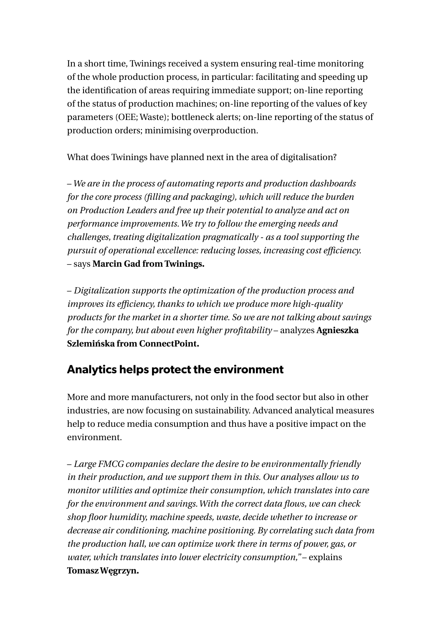In a short time, Twinings received a system ensuring real-time monitoring of the whole production process, in particular: facilitating and speeding up the identification of areas requiring immediate support; on-line reporting of the status of production machines; on-line reporting of the values of key parameters (OEE; Waste); bottleneck alerts; on-line reporting of the status of production orders; minimising overproduction.

What does Twinings have planned next in the area of digitalisation?

– *We are in the process of automating reports and production dashboards for the core process (filling and packaging), which will reduce the burden on Production Leaders and free up their potential to analyze and act on performance improvements. We try to follow the emerging needs and challenges, treating digitalization pragmatically - as a tool supporting the pursuit of operational excellence: reducing losses, increasing cost efficiency.*  – says **Marcin Gad from Twinings.**

– *Digitalization supports the optimization of the production process and improves its efficiency, thanks to which we produce more high-quality products for the market in a shorter time. So we are not talking about savings for the company, but about even higher profitability* – analyzes **Agnieszka Szlemińska from ConnectPoint.** 

# **Analytics helps protect the environment**

More and more manufacturers, not only in the food sector but also in other industries, are now focusing on sustainability. Advanced analytical measures help to reduce media consumption and thus have a positive impact on the environment.

– *Large FMCG companies declare the desire to be environmentally friendly in their production, and we support them in this. Our analyses allow us to monitor utilities and optimize their consumption, which translates into care for the environment and savings. With the correct data flows, we can check shop floor humidity, machine speeds, waste, decide whether to increase or decrease air conditioning, machine positioning. By correlating such data from the production hall, we can optimize work there in terms of power, gas, or water, which translates into lower electricity consumption,"* – explains **Tomasz Węgrzyn.**